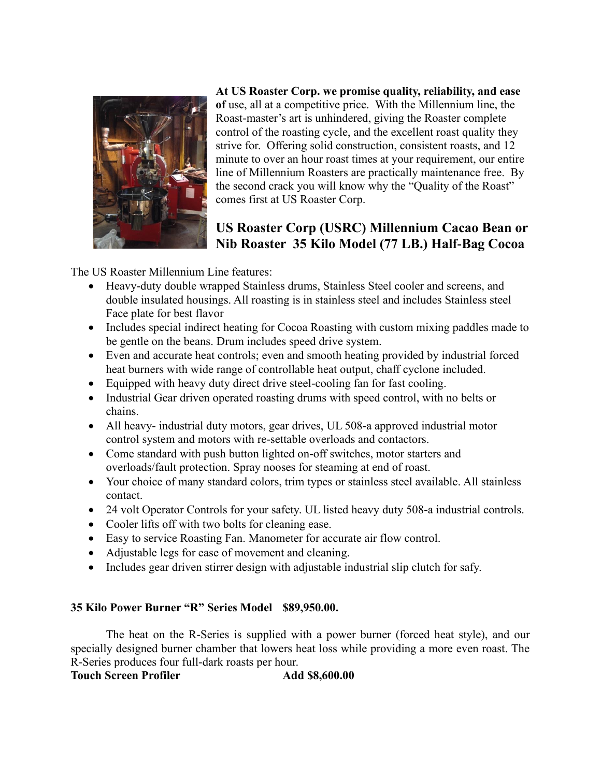

**At US Roaster Corp. we promise quality, reliability, and ease of** use, all at a competitive price. With the Millennium line, the Roast-master's art is unhindered, giving the Roaster complete control of the roasting cycle, and the excellent roast quality they strive for. Offering solid construction, consistent roasts, and 12 minute to over an hour roast times at your requirement, our entire line of Millennium Roasters are practically maintenance free. By the second crack you will know why the "Quality of the Roast" comes first at US Roaster Corp.

## **US Roaster Corp (USRC) Millennium Cacao Bean or Nib Roaster 35 Kilo Model (77 LB.) Half-Bag Cocoa**

The US Roaster Millennium Line features:

- Heavy-duty double wrapped Stainless drums, Stainless Steel cooler and screens, and double insulated housings. All roasting is in stainless steel and includes Stainless steel Face plate for best flavor
- Includes special indirect heating for Cocoa Roasting with custom mixing paddles made to be gentle on the beans. Drum includes speed drive system.
- Even and accurate heat controls; even and smooth heating provided by industrial forced heat burners with wide range of controllable heat output, chaff cyclone included.
- Equipped with heavy duty direct drive steel-cooling fan for fast cooling.
- Industrial Gear driven operated roasting drums with speed control, with no belts or chains.
- All heavy- industrial duty motors, gear drives, UL 508-a approved industrial motor control system and motors with re-settable overloads and contactors.
- Come standard with push button lighted on-off switches, motor starters and overloads/fault protection. Spray nooses for steaming at end of roast.
- Your choice of many standard colors, trim types or stainless steel available. All stainless contact.
- 24 volt Operator Controls for your safety. UL listed heavy duty 508-a industrial controls.
- Cooler lifts off with two bolts for cleaning ease.
- Easy to service Roasting Fan. Manometer for accurate air flow control.
- Adjustable legs for ease of movement and cleaning.
- Includes gear driven stirrer design with adjustable industrial slip clutch for safy.

## **35 Kilo Power Burner "R" Series Model \$89,950.00.**

The heat on the R-Series is supplied with a power burner (forced heat style), and our specially designed burner chamber that lowers heat loss while providing a more even roast. The R-Series produces four full-dark roasts per hour.

**Touch Screen Profiler Add \$8,600.00**